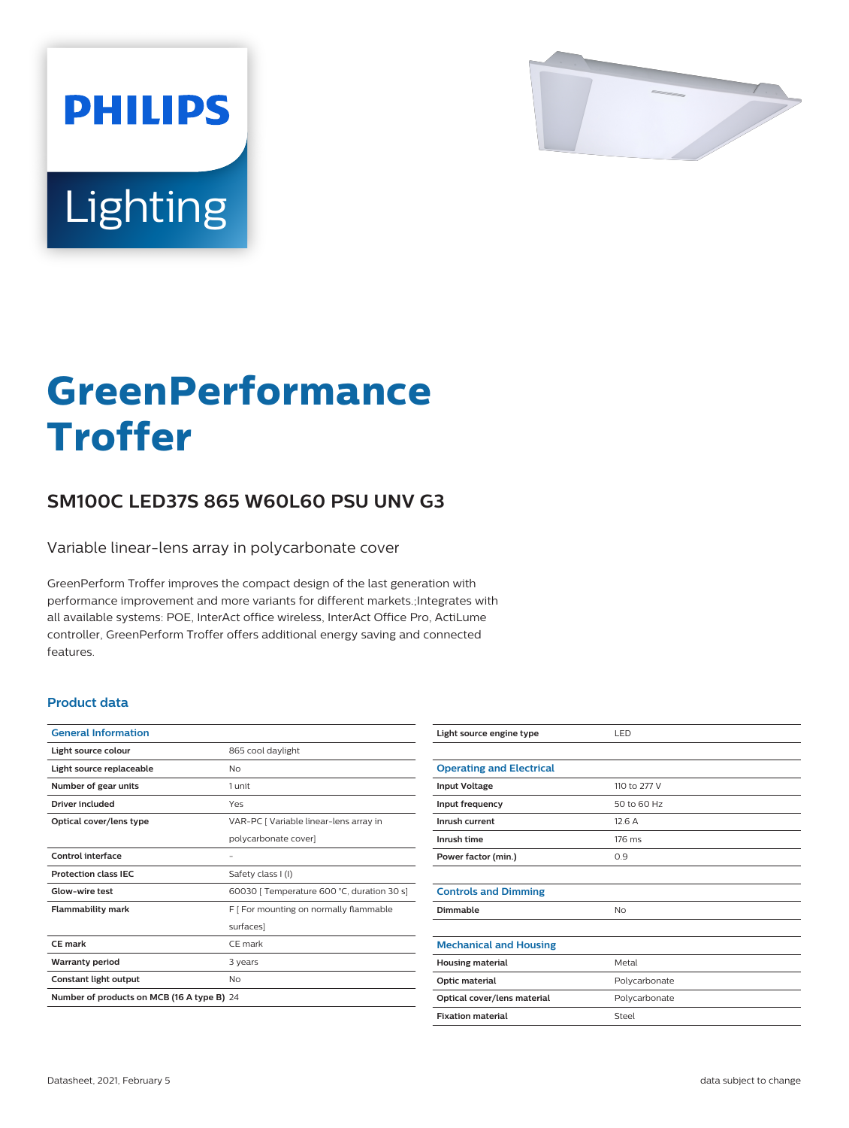

# Lighting

**PHILIPS** 

# **GreenPerformance Troffer**

## **SM100C LED37S 865 W60L60 PSU UNV G3**

Variable linear-lens array in polycarbonate cover

GreenPerform Troffer improves the compact design of the last generation with performance improvement and more variants for different markets.;Integrates with all available systems: POE, InterAct office wireless, InterAct Office Pro, ActiLume controller, GreenPerform Troffer offers additional energy saving and connected features.

#### **Product data**

| <b>General Information</b>                 |                                            |  |
|--------------------------------------------|--------------------------------------------|--|
| Light source colour                        | 865 cool daylight                          |  |
| Light source replaceable                   | Nο                                         |  |
| Number of gear units                       | 1 unit                                     |  |
| Driver included                            | Yes                                        |  |
| Optical cover/lens type                    | VAR-PC [ Variable linear-lens array in     |  |
|                                            | polycarbonate cover]                       |  |
| Control interface                          |                                            |  |
| <b>Protection class IEC</b>                | Safety class I (I)                         |  |
| Glow-wire test                             | 60030   Temperature 600 °C, duration 30 s] |  |
| <b>Flammability mark</b>                   | F [ For mounting on normally flammable     |  |
|                                            | surfaces]                                  |  |
| CE mark                                    | CE mark                                    |  |
| <b>Warranty period</b>                     | 3 years                                    |  |
| Constant light output                      | No                                         |  |
| Number of products on MCB (16 A type B) 24 |                                            |  |

| Light source engine type        | LED           |
|---------------------------------|---------------|
|                                 |               |
| <b>Operating and Electrical</b> |               |
| <b>Input Voltage</b>            | 110 to 277 V  |
| Input frequency                 | 50 to 60 Hz   |
| Inrush current                  | 12.6A         |
| Inrush time                     | 176 ms        |
| Power factor (min.)             | 0.9           |
|                                 |               |
| <b>Controls and Dimming</b>     |               |
| Dimmable                        | No            |
|                                 |               |
| <b>Mechanical and Housing</b>   |               |
| <b>Housing material</b>         | Metal         |
| Optic material                  | Polycarbonate |
| Optical cover/lens material     | Polycarbonate |
| <b>Fixation material</b>        | Steel         |
|                                 |               |